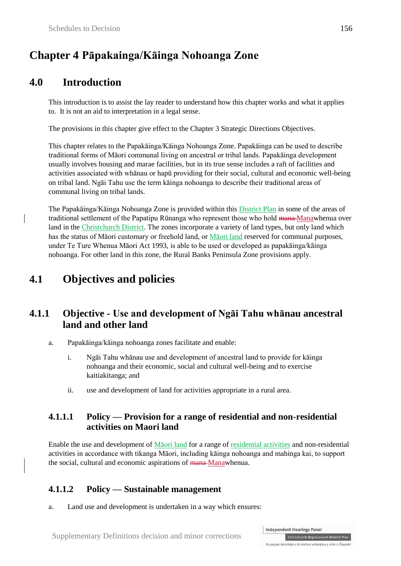# **Chapter 4 Pāpakainga/Kāinga Nohoanga Zone**

# **4.0 Introduction**

This introduction is to assist the lay reader to understand how this chapter works and what it applies to. It is not an aid to interpretation in a legal sense.

The provisions in this chapter give effect to the Chapter 3 Strategic Directions Objectives.

This chapter relates to the Papakāinga/Kāinga Nohoanga Zone. Papakāinga can be used to describe traditional forms of Māori communal living on ancestral or tribal lands. Papakāinga development usually involves housing and marae facilities, but in its true sense includes a raft of facilities and activities associated with whānau or hapū providing for their social, cultural and economic well-being on tribal land. Ngāi Tahu use the term kāinga nohoanga to describe their traditional areas of communal living on tribal lands.

The Papakāinga/Kāinga Nohoanga Zone is provided within this District Plan in some of the areas of traditional settlement of the Papatipu Rūnanga who represent those who hold mana Manawhenua over land in the Christchurch District. The zones incorporate a variety of land types, but only land which has the status of Māori customary or freehold land, or Māori land reserved for communal purposes, under Te Ture Whenua Māori Act 1993, is able to be used or developed as papakāinga/kāinga nohoanga. For other land in this zone, the Rural Banks Peninsula Zone provisions apply.

# **4.1 Objectives and policies**

# **4.1.1 Objective - Use and development of Ngāi Tahu whānau ancestral land and other land**

- a. Papakāinga/kāinga nohoanga zones facilitate and enable:
	- i. Ngāi Tahu whānau use and development of ancestral land to provide for kāinga nohoanga and their economic, social and cultural well-being and to exercise kaitiakitanga; and
	- ii. use and development of land for activities appropriate in a rural area.

#### **4.1.1.1 Policy — Provision for a range of residential and non-residential activities on Maori land**

Enable the use and development of Māori land for a range of residential activities and non-residential activities in accordance with tikanga Māori, including kāinga nohoanga and mahinga kai, to support the social, cultural and economic aspirations of mana-Manawhenua.

### **4.1.1.2 Policy — Sustainable management**

a. Land use and development is undertaken in a way which ensures: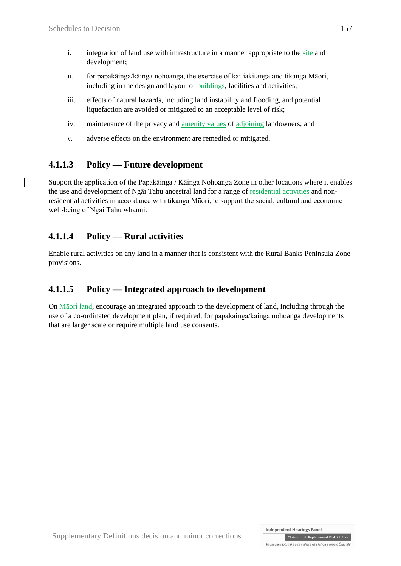- i. integration of land use with infrastructure in a manner appropriate to the site and development;
- ii. for papakāinga/kāinga nohoanga, the exercise of kaitiakitanga and tikanga Māori, including in the design and layout of buildings, facilities and activities;
- iii. effects of natural hazards, including land instability and flooding, and potential liquefaction are avoided or mitigated to an acceptable level of risk;
- iv. maintenance of the privacy and amenity values of adjoining landowners; and
- v. adverse effects on the environment are remedied or mitigated*.*

# **4.1.1.3 Policy — Future development**

Support the application of the Papakāinga-/-Kāinga Nohoanga Zone in other locations where it enables the use and development of Ngāi Tahu ancestral land for a range of residential activities and nonresidential activities in accordance with tikanga Māori, to support the social, cultural and economic well-being of Ngāi Tahu whānui.

### **4.1.1.4 Policy — Rural activities**

Enable rural activities on any land in a manner that is consistent with the Rural Banks Peninsula Zone provisions.

### **4.1.1.5 Policy — Integrated approach to development**

On Māori land, encourage an integrated approach to the development of land, including through the use of a co-ordinated development plan, if required, for papakāinga/kāinga nohoanga developments that are larger scale or require multiple land use consents.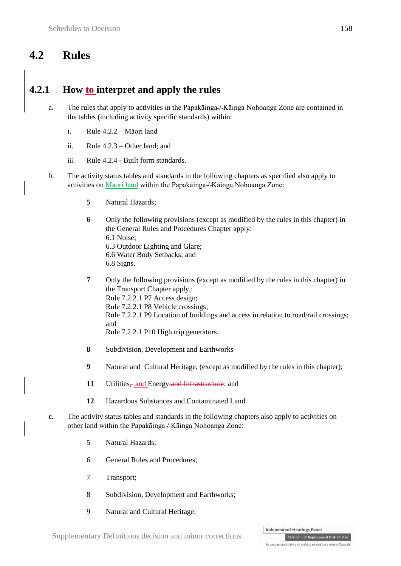# **4.2 Rules**

# **4.2.1 How to interpret and apply the rules**

- a. The rules that apply to activities in the Papakāinga / Kāinga Nohoanga Zone are contained in the tables (including activity specific standards) within:
	- i. Rule 4.2.2 Māori land
	- ii. Rule  $4.2.3$  Other land; and
	- iii. Rule 4.2.4 Built form standards.
- b. The activity status tables and standards in the following chapters as specified also apply to activities on Māori land within the Papakāinga-/-Kāinga Nohoanga Zone:
	- **5** Natural Hazards;
	- **6** Only the following provisions (except as modified by the rules in this chapter) in the General Rules and Procedures Chapter apply: 6.1 Noise; 6.3 Outdoor Lighting and Glare; 6.6 Water Body Setbacks; and 6.8 Signs.
	- **7** Only the following provisions (except as modified by the rules in this chapter) in the Transport Chapter apply,: Rule 7.2.2.1 P7 Access design; Rule 7.2.2.1 P8 Vehicle crossings; Rule 7.2.2.1 P9 Location of buildings and access in relation to road/rail crossings; and Rule 7.2.2.1 P10 High trip generators.
	- **8** Subdivision, Development and Earthworks
	- **9** Natural and Cultural Heritage, (except as modified by the rules in this chapter);
	- **11** Utilities, and Energy and Infrastructure; and
	- **12** Hazardous Substances and Contaminated Land.
- **c.** The activity status tables and standards in the following chapters also apply to activities on other land within the Papakāinga / Kāinga Nohoanga Zone:
	- 5 Natural Hazards;
	- 6 General Rules and Procedures;
	- 7 Transport;
	- 8 Subdivision, Development and Earthworks;
	- 9 Natural and Cultural Heritage;

Christchurch Replacement District Plan Te paepae motuhake o te mahere whakahou a rohe o Ōtautahi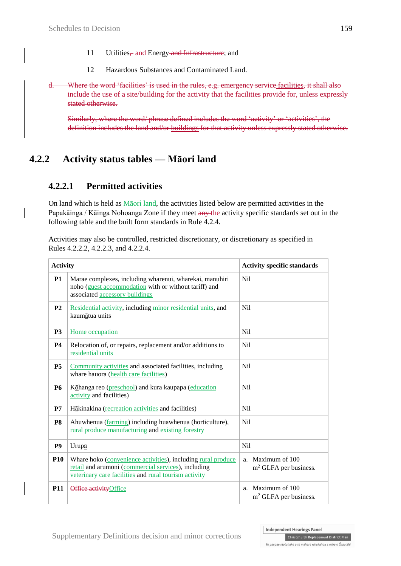- 11 Utilities, and Energy and Infrastructure; and
- 12 Hazardous Substances and Contaminated Land.
- d. Where the word 'facilities' is used in the rules, e.g. emergency service facilities, it shall also include the use of a site/building for the activity that the facilities provide for, unless expressly stated otherwise.

Similarly, where the word/ phrase defined includes the word 'activity' or 'activities', the definition includes the land and/or buildings for that activity unless expressly stated otherwise.

# **4.2.2 Activity status tables — Māori land**

#### **4.2.2.1 Permitted activities**

On land which is held as Māori land, the activities listed below are permitted activities in the Papakāinga / Kāinga Nohoanga Zone if they meet any the activity specific standards set out in the following table and the built form standards in Rule 4.2.4.

Activities may also be controlled, restricted discretionary, or discretionary as specified in Rules 4.2.2.2, 4.2.2.3, and 4.2.2.4.

| <b>Activity</b> |                                                                                                                                                                              | <b>Activity specific standards</b>                        |
|-----------------|------------------------------------------------------------------------------------------------------------------------------------------------------------------------------|-----------------------------------------------------------|
| <b>P1</b>       | Marae complexes, including wharenui, wharekai, manuhiri<br>noho (guest accommodation with or without tariff) and<br>associated accessory buildings                           | N <sub>i</sub> l                                          |
| P <sub>2</sub>  | Residential activity, including minor residential units, and<br>kaumātua units                                                                                               | N <sub>i</sub> l                                          |
| <b>P3</b>       | Home occupation                                                                                                                                                              | N <sub>i</sub> l                                          |
| <b>P4</b>       | Relocation of, or repairs, replacement and/or additions to<br>residential units                                                                                              | N <sub>il</sub>                                           |
| P <sub>5</sub>  | Community activities and associated facilities, including<br>whare hauora (health care facilities)                                                                           | N <sub>i</sub> l                                          |
| <b>P6</b>       | Kōhanga reo (preschool) and kura kaupapa (education<br>activity and facilities)                                                                                              | N <sub>il</sub>                                           |
| P7              | Hākinakina (recreation activities and facilities)                                                                                                                            | <b>Nil</b>                                                |
| P <sub>8</sub>  | Ahuwhenua (farming) including huawhenua (horticulture),<br>rural produce manufacturing and existing forestry                                                                 | N <sub>i</sub> l                                          |
| P <sub>9</sub>  | Urupā                                                                                                                                                                        | Nil                                                       |
| <b>P10</b>      | Whare hoko (convenience activities), including rural produce<br>retail and arumoni (commercial services), including<br>veterinary care facilities and rural tourism activity | Maximum of 100<br>a.<br>m <sup>2</sup> GLFA per business. |
| <b>P11</b>      | Office activity Office                                                                                                                                                       | a. Maximum of 100<br>$m2$ GLFA per business.              |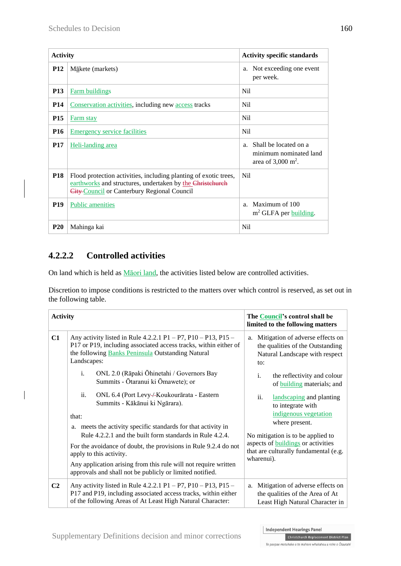| <b>Activity</b> |                                                                                                                                                                              | <b>Activity specific standards</b>                                                                 |
|-----------------|------------------------------------------------------------------------------------------------------------------------------------------------------------------------------|----------------------------------------------------------------------------------------------------|
| <b>P12</b>      | $M\bar{a}$ kete (markets)                                                                                                                                                    | Not exceeding one event<br>a.<br>per week.                                                         |
| <b>P13</b>      | <b>Farm buildings</b>                                                                                                                                                        | N <sub>i</sub>                                                                                     |
| <b>P14</b>      | Conservation activities, including new access tracks                                                                                                                         | Nil                                                                                                |
| <b>P15</b>      | <b>Farm stay</b>                                                                                                                                                             | N <sub>i</sub>                                                                                     |
| <b>P16</b>      | <b>Emergency service facilities</b>                                                                                                                                          | N <sub>i</sub>                                                                                     |
| <b>P17</b>      | Heli-landing area                                                                                                                                                            | Shall be located on a<br>a <sub>1</sub><br>minimum nominated land<br>area of $3,000 \text{ m}^2$ . |
| <b>P18</b>      | Flood protection activities, including planting of exotic trees,<br>earthworks and structures, undertaken by the Christchurch<br>City-Council or Canterbury Regional Council | N <sub>i</sub>                                                                                     |
| <b>P19</b>      | <b>Public amenities</b>                                                                                                                                                      | Maximum of 100<br>a <sub>z</sub><br>$m2$ GLFA per building.                                        |
| <b>P20</b>      | Mahinga kai                                                                                                                                                                  | <b>Nil</b>                                                                                         |

# **4.2.2.2 Controlled activities**

On land which is held as Māori land, the activities listed below are controlled activities.

Discretion to impose conditions is restricted to the matters over which control is reserved, as set out in the following table.

| <b>Activity</b> |                                                                                                                                                                                                       | The Council's control shall be<br>limited to the following matters                                                  |
|-----------------|-------------------------------------------------------------------------------------------------------------------------------------------------------------------------------------------------------|---------------------------------------------------------------------------------------------------------------------|
| C1              | Any activity listed in Rule 4.2.2.1 P1 – P7, P10 – P13, P15 –<br>P17 or P19, including associated access tracks, within either of<br>the following Banks Peninsula Outstanding Natural<br>Landscapes: | Mitigation of adverse effects on<br>a.<br>the qualities of the Outstanding<br>Natural Landscape with respect<br>to: |
|                 | i.<br>ONL 2.0 (Rāpaki Ōhinetahi / Governors Bay<br>Summits - Ōtaranui ki Ōmawete); or                                                                                                                 | $\mathbf{i}$ .<br>the reflectivity and colour<br>of <b>building</b> materials; and                                  |
|                 | ii.<br>ONL 6.4 (Port Levy-/-Koukourārata - Eastern<br>Summits - Kākānui ki Ngārara).                                                                                                                  | landscaping and planting<br>ii.<br>to integrate with                                                                |
|                 | that:                                                                                                                                                                                                 | indigenous vegetation                                                                                               |
|                 | a. meets the activity specific standards for that activity in                                                                                                                                         | where present.                                                                                                      |
|                 | Rule 4.2.2.1 and the built form standards in Rule 4.2.4.                                                                                                                                              | No mitigation is to be applied to                                                                                   |
|                 | For the avoidance of doubt, the provisions in Rule 9.2.4 do not<br>apply to this activity.                                                                                                            | aspects of <b>buildings</b> or activities<br>that are culturally fundamental (e.g.<br>wharenui).                    |
|                 | Any application arising from this rule will not require written<br>approvals and shall not be publicly or limited notified.                                                                           |                                                                                                                     |
| C <sub>2</sub>  | Any activity listed in Rule 4.2.2.1 P1 - P7, P10 - P13, P15 -<br>P17 and P19, including associated access tracks, within either<br>of the following Areas of At Least High Natural Character:         | Mitigation of adverse effects on<br>a.<br>the qualities of the Area of At<br>Least High Natural Character in        |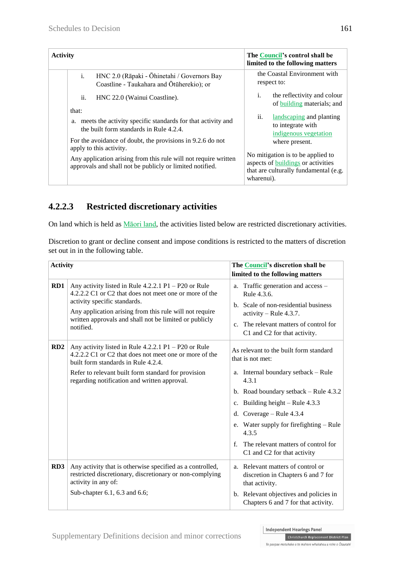| <b>Activity</b>         |                                                                                                                             | The Council's control shall be<br>limited to the following matters                                                                    |
|-------------------------|-----------------------------------------------------------------------------------------------------------------------------|---------------------------------------------------------------------------------------------------------------------------------------|
| i.                      | HNC 2.0 (Rāpaki - Ōhinetahi / Governors Bay<br>Coastline - Taukahara and Ōtūherekio); or                                    | the Coastal Environment with<br>respect to:                                                                                           |
| ii.<br>that:            | HNC 22.0 (Wainui Coastline).                                                                                                | $\mathbf{i}$ .<br>the reflectivity and colour<br>of building materials; and                                                           |
| a.                      | meets the activity specific standards for that activity and<br>the built form standards in Rule 4.2.4.                      | landscaping and planting<br>$\overline{11}$ .<br>to integrate with<br>indigenous vegetation                                           |
| apply to this activity. | For the avoidance of doubt, the provisions in 9.2.6 do not                                                                  | where present.                                                                                                                        |
|                         | Any application arising from this rule will not require written<br>approvals and shall not be publicly or limited notified. | No mitigation is to be applied to<br>aspects of <b>buildings</b> or activities<br>that are culturally fundamental (e.g.<br>wharenui). |

# **4.2.2.3 Restricted discretionary activities**

On land which is held as Māori land, the activities listed below are restricted discretionary activities.

Discretion to grant or decline consent and impose conditions is restricted to the matters of discretion set out in in the following table.

| <b>Activity</b> |                                                                                                                                                                                                                                                                                    | The Council's discretion shall be<br>limited to the following matters                                                                                                                                                                                                                                                                                             |
|-----------------|------------------------------------------------------------------------------------------------------------------------------------------------------------------------------------------------------------------------------------------------------------------------------------|-------------------------------------------------------------------------------------------------------------------------------------------------------------------------------------------------------------------------------------------------------------------------------------------------------------------------------------------------------------------|
| RD1             | Any activity listed in Rule $4.2.2.1$ P1 – P20 or Rule<br>4.2.2.2 C1 or C2 that does not meet one or more of the<br>activity specific standards.<br>Any application arising from this rule will not require<br>written approvals and shall not be limited or publicly<br>notified. | a. Traffic generation and access -<br>Rule 4.3.6.<br>b. Scale of non-residential business<br>$\text{activity} - \text{Rule } 4.3.7.$<br>c. The relevant matters of control for<br>C1 and C2 for that activity.                                                                                                                                                    |
| RD2             | Any activity listed in Rule $4.2.2.1$ P1 – P20 or Rule<br>4.2.2.2 C1 or C2 that does not meet one or more of the<br>built form standards in Rule 4.2.4.<br>Refer to relevant built form standard for provision<br>regarding notification and written approval.                     | As relevant to the built form standard<br>that is not met:<br>a. Internal boundary setback - Rule<br>4.3.1<br>b. Road boundary setback $-$ Rule 4.3.2<br>c. Building height $-$ Rule 4.3.3<br>d. Coverage $-$ Rule 4.3.4<br>e. Water supply for firefighting – Rule<br>4.3.5<br>The relevant matters of control for<br>$f_{\perp}$<br>C1 and C2 for that activity |
| RD3             | Any activity that is otherwise specified as a controlled,<br>restricted discretionary, discretionary or non-complying<br>activity in any of:<br>Sub-chapter 6.1, 6.3 and 6.6;                                                                                                      | a. Relevant matters of control or<br>discretion in Chapters 6 and 7 for<br>that activity.<br>b. Relevant objectives and policies in<br>Chapters 6 and 7 for that activity.                                                                                                                                                                                        |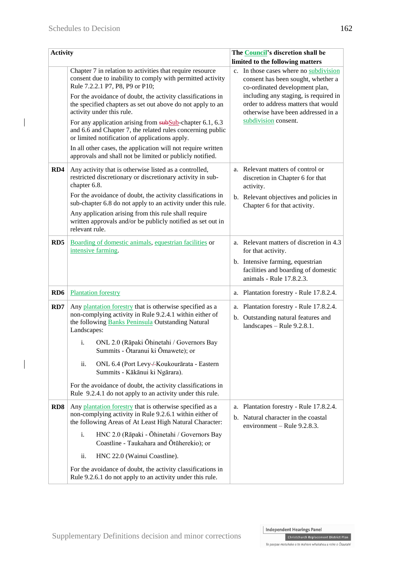$\overline{\phantom{a}}$ 

 $\overline{\phantom{a}}$ 

| <b>Activity</b> |                                                                                                                                                                                                                                                                                                                                                                                                                                                                                                                                                                                                                                                           | The <b>Council's</b> discretion shall be                                                                                                                                                                                                                                                                     |
|-----------------|-----------------------------------------------------------------------------------------------------------------------------------------------------------------------------------------------------------------------------------------------------------------------------------------------------------------------------------------------------------------------------------------------------------------------------------------------------------------------------------------------------------------------------------------------------------------------------------------------------------------------------------------------------------|--------------------------------------------------------------------------------------------------------------------------------------------------------------------------------------------------------------------------------------------------------------------------------------------------------------|
|                 | Chapter 7 in relation to activities that require resource<br>consent due to inability to comply with permitted activity<br>Rule 7.2.2.1 P7, P8, P9 or P10;<br>For the avoidance of doubt, the activity classifications in<br>the specified chapters as set out above do not apply to an<br>activity under this rule.<br>For any application arising from $\frac{\text{subSub}}{\text{sub}}$ -chapter 6.1, 6.3<br>and 6.6 and Chapter 7, the related rules concerning public<br>or limited notification of applications apply.<br>In all other cases, the application will not require written<br>approvals and shall not be limited or publicly notified. | limited to the following matters<br>In those cases where no subdivision<br>$c_{\cdot}$<br>consent has been sought, whether a<br>co-ordinated development plan,<br>including any staging, is required in<br>order to address matters that would<br>otherwise have been addressed in a<br>subdivision consent. |
| RD4             | Any activity that is otherwise listed as a controlled,<br>restricted discretionary or discretionary activity in sub-<br>chapter 6.8.<br>For the avoidance of doubt, the activity classifications in<br>sub-chapter 6.8 do not apply to an activity under this rule.<br>Any application arising from this rule shall require<br>written approvals and/or be publicly notified as set out in<br>relevant rule.                                                                                                                                                                                                                                              | a. Relevant matters of control or<br>discretion in Chapter 6 for that<br>activity.<br>b. Relevant objectives and policies in<br>Chapter 6 for that activity.                                                                                                                                                 |
| RD <sub>5</sub> | Boarding of domestic animals, equestrian facilities or<br>intensive farming.                                                                                                                                                                                                                                                                                                                                                                                                                                                                                                                                                                              | a. Relevant matters of discretion in 4.3<br>for that activity.<br>b. Intensive farming, equestrian<br>facilities and boarding of domestic<br>animals - Rule 17.8.2.3.                                                                                                                                        |
| RD <sub>6</sub> | <b>Plantation forestry</b>                                                                                                                                                                                                                                                                                                                                                                                                                                                                                                                                                                                                                                | a. Plantation forestry - Rule 17.8.2.4.                                                                                                                                                                                                                                                                      |
| RD7             | Any plantation forestry that is otherwise specified as a<br>non-complying activity in Rule 9.2.4.1 within either of<br>the following Banks Peninsula Outstanding Natural<br>Landscapes:<br>ONL 2.0 (Rāpaki Ōhinetahi / Governors Bay<br>$\mathbf{i}$ .<br>Summits - Ōtaranui ki Ōmawete); or<br>ii.<br>ONL 6.4 (Port Levy-/-Koukourārata - Eastern<br>Summits - Kākānui ki Ngārara).<br>For the avoidance of doubt, the activity classifications in<br>Rule 9.2.4.1 do not apply to an activity under this rule.                                                                                                                                          | a. Plantation forestry - Rule 17.8.2.4.<br>b. Outstanding natural features and<br>landscapes $-$ Rule 9.2.8.1.                                                                                                                                                                                               |
| RD8             | Any plantation forestry that is otherwise specified as a<br>non-complying activity in Rule 9.2.6.1 within either of<br>the following Areas of At Least High Natural Character:<br>HNC 2.0 (Rāpaki - Ōhinetahi / Governors Bay<br>i.<br>Coastline - Taukahara and Ōtūherekio); or<br>ii.<br>HNC 22.0 (Wainui Coastline).<br>For the avoidance of doubt, the activity classifications in<br>Rule 9.2.6.1 do not apply to an activity under this rule.                                                                                                                                                                                                       | a. Plantation forestry - Rule 17.8.2.4.<br>b. Natural character in the coastal<br>environment – Rule $9.2.8.3$ .                                                                                                                                                                                             |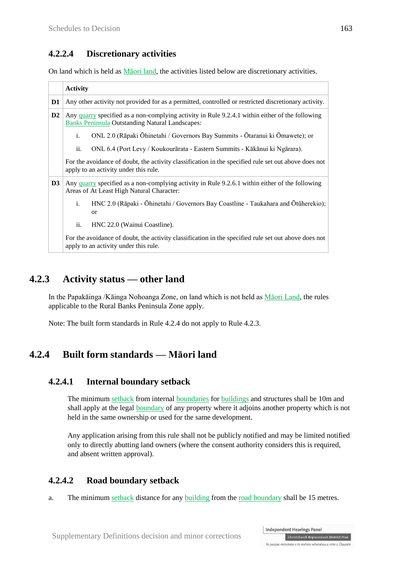#### **4.2.2.4 Discretionary activities**

On land which is held as Māori land, the activities listed below are discretionary activities.

|                | <b>Activity</b>                                                                                                                                           |  |
|----------------|-----------------------------------------------------------------------------------------------------------------------------------------------------------|--|
| D <sub>1</sub> | Any other activity not provided for as a permitted, controlled or restricted discretionary activity.                                                      |  |
| D <sub>2</sub> | Any quarry specified as a non-complying activity in Rule 9.2.4.1 within either of the following<br><b>Banks Peninsula Outstanding Natural Landscapes:</b> |  |
|                | $\mathbf{i}$ .<br>ONL 2.0 (Rāpaki Ōhinetahi / Governors Bay Summits - Ōtaranui ki Ōmawete); or                                                            |  |
|                | ii.<br>ONL 6.4 (Port Levy / Koukourārata - Eastern Summits - Kākānui ki Ngārara).                                                                         |  |
|                | For the avoidance of doubt, the activity classification in the specified rule set out above does not<br>apply to an activity under this rule.             |  |
| D <sub>3</sub> | Any quarry specified as a non-complying activity in Rule 9.2.6.1 within either of the following<br>Areas of At Least High Natural Character:              |  |
|                | i.<br>HNC 2.0 (Rāpaki - Ōhinetahi / Governors Bay Coastline - Taukahara and Ōtūherekio);<br><sub>or</sub>                                                 |  |
|                | ii.<br>HNC 22.0 (Wainui Coastline).                                                                                                                       |  |
|                | For the avoidance of doubt, the activity classification in the specified rule set out above does not<br>apply to an activity under this rule.             |  |

### **4.2.3 Activity status — other land**

In the Papakāinga /Kāinga Nohoanga Zone, on land which is not held as Māori Land, the rules applicable to the Rural Banks Peninsula Zone apply.

Note: The built form standards in Rule 4.2.4 do not apply to Rule 4.2.3.

# **4.2.4 Built form standards — Māori land**

#### **4.2.4.1 Internal boundary setback**

The minimum setback from internal boundaries for buildings and structures shall be 10m and shall apply at the legal boundary of any property where it adjoins another property which is not held in the same ownership or used for the same development.

Any application arising from this rule shall not be publicly notified and may be limited notified only to directly abutting land owners (where the consent authority considers this is required, and absent written approval).

#### **4.2.4.2 Road boundary setback**

a. The minimum setback distance for any building from the road boundary shall be 15 metres.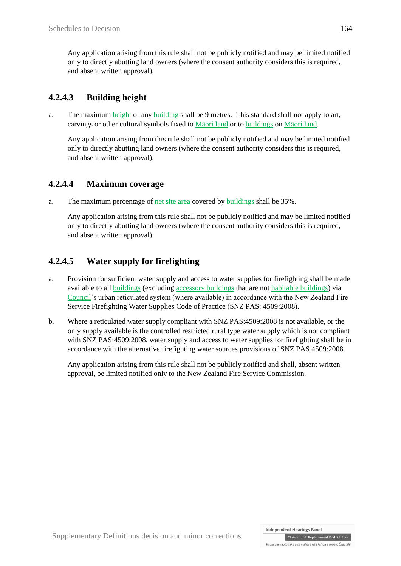Any application arising from this rule shall not be publicly notified and may be limited notified only to directly abutting land owners (where the consent authority considers this is required, and absent written approval).

## **4.2.4.3 Building height**

a. The maximum height of any building shall be 9 metres. This standard shall not apply to art. carvings or other cultural symbols fixed to Māori land or to buildings on Māori land.

Any application arising from this rule shall not be publicly notified and may be limited notified only to directly abutting land owners (where the consent authority considers this is required, and absent written approval).

### **4.2.4.4 Maximum coverage**

a. The maximum percentage of net site area covered by buildings shall be 35%.

Any application arising from this rule shall not be publicly notified and may be limited notified only to directly abutting land owners (where the consent authority considers this is required, and absent written approval).

### **4.2.4.5 Water supply for firefighting**

- a. Provision for sufficient water supply and access to water supplies for firefighting shall be made available to all buildings (excluding accessory buildings that are not habitable buildings) via Council's urban reticulated system (where available) in accordance with the New Zealand Fire Service Firefighting Water Supplies Code of Practice (SNZ PAS: 4509:2008).
- b. Where a reticulated water supply compliant with SNZ PAS:4509:2008 is not available, or the only supply available is the controlled restricted rural type water supply which is not compliant with SNZ PAS:4509:2008, water supply and access to water supplies for firefighting shall be in accordance with the alternative firefighting water sources provisions of SNZ PAS 4509:2008.

Any application arising from this rule shall not be publicly notified and shall, absent written approval, be limited notified only to the New Zealand Fire Service Commission.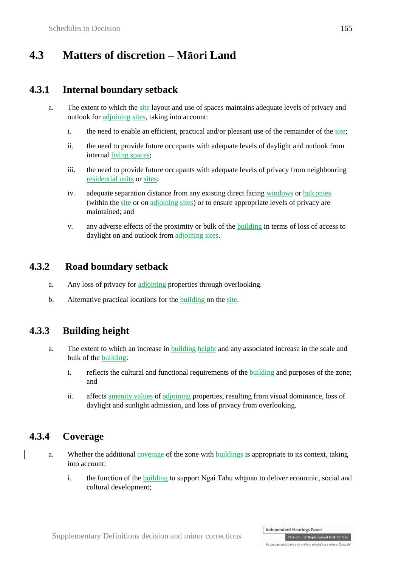# **4.3 Matters of discretion – Māori Land**

## **4.3.1 Internal boundary setback**

- a. The extent to which the site layout and use of spaces maintains adequate levels of privacy and outlook for adjoining sites, taking into account:
	- i. the need to enable an efficient, practical and/or pleasant use of the remainder of the site;
	- ii. the need to provide future occupants with adequate levels of daylight and outlook from internal living spaces;
	- iii. the need to provide future occupants with adequate levels of privacy from neighbouring residential units or sites;
	- iv. adequate separation distance from any existing direct facing windows or balconies (within the site or on adjoining sites) or to ensure appropriate levels of privacy are maintained; and
	- v. any adverse effects of the proximity or bulk of the building in terms of loss of access to daylight on and outlook from adjoining sites.

# **4.3.2 Road boundary setback**

- a. Any loss of privacy for adjoining properties through overlooking.
- b. Alternative practical locations for the building on the site.

### **4.3.3 Building height**

- a. The extent to which an increase in building height and any associated increase in the scale and bulk of the building:
	- i. reflects the cultural and functional requirements of the building and purposes of the zone; and
	- ii. affects amenity values of adjoining properties, resulting from visual dominance, loss of daylight and sunlight admission, and loss of privacy from overlooking.

# **4.3.4 Coverage**

- a. Whether the additional coverage of the zone with buildings is appropriate to its context, taking into account:
	- i. the function of the building to support Ngai Tāhu whānau to deliver economic, social and cultural development;